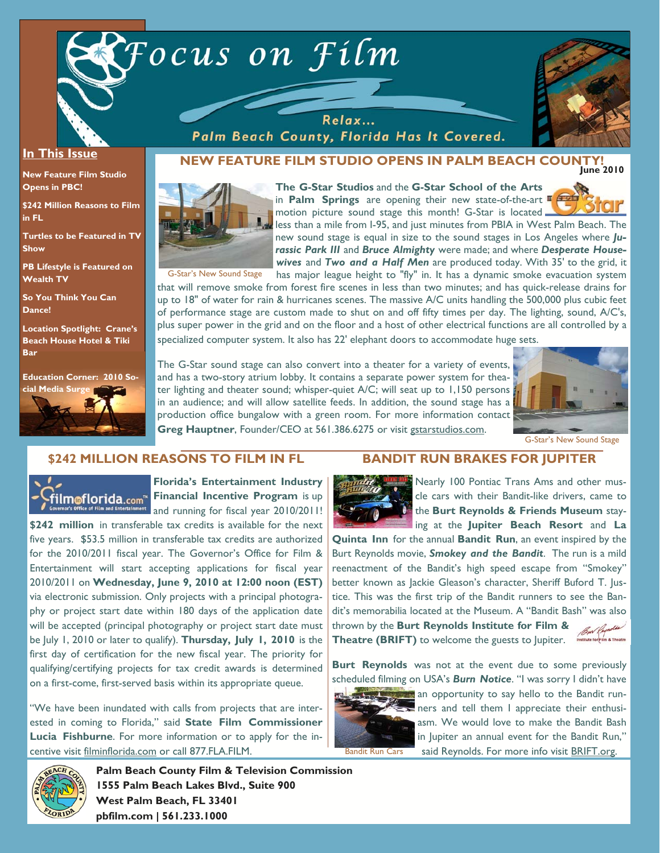



#### **In This Issue**

**New Feature Film Studio Opens in PBC!** 

**\$242 Million Reasons to Film in FL** 

**Turtles to be Featured in TV Show** 

**PB Lifestyle is Featured on Wealth TV** 

**So You Think You Can Dance!** 

**Location Spotlight: Crane's Beach House Hotel & Tiki Bar** 



#### **June 2010 NEW FEATURE FILM STUDIO OPENS IN PALM BEACH COUNTY!**

Palm Beach County, Florida Has It Covered.



**The G-Star Studios** and the **G-Star School of the Arts**  in **Palm Springs** are opening their new state-of-the-art motion picture sound stage this month! G-Star is located



less than a mile from I-95, and just minutes from PBIA in West Palm Beach. The new sound stage is equal in size to the sound stages in Los Angeles where *Jurassic Park III* and *Bruce Almighty* were made; and where *Desperate Housewives* and *Two and a Half Men* are produced today. With 35' to the grid, it

G-Star's New Sound Stage

has major league height to "fly" in. It has a dynamic smoke evacuation system that will remove smoke from forest fire scenes in less than two minutes; and has quick-release drains for up to 18" of water for rain & hurricanes scenes. The massive A/C units handling the 500,000 plus cubic feet of performance stage are custom made to shut on and off fifty times per day. The lighting, sound, A/C's, plus super power in the grid and on the floor and a host of other electrical functions are all controlled by a specialized computer system. It also has 22' elephant doors to accommodate huge sets.

The G-Star sound stage can also convert into a theater for a variety of events, and has a two-story atrium lobby. It contains a separate power system for theater lighting and theater sound; whisper-quiet A/C; will seat up to 1,150 persons in an audience; and will allow satellite feeds. In addition, the sound stage has a production office bungalow with a green room. For more information contact **Greg Hauptner**, Founder/CEO at 561.386.6275 or visit gstarstudios.com.



G-Star's New Sound Stage

# **\$242 MILLION REASONS TO FILM IN FL**



**Florida's Entertainment Industry film of lorida.com<sup>"</sup> Financial Incentive Program is up** <sup>at</sup> and running for fiscal year 2010/2011!

**\$242 million** in transferable tax credits is available for the next five years. \$53.5 million in transferable tax credits are authorized for the 2010/2011 fiscal year. The Governor's Office for Film & Entertainment will start accepting applications for fiscal year 2010/2011 on **Wednesday, June 9, 2010 at 12:00 noon (EST)** via electronic submission. Only projects with a principal photography or project start date within 180 days of the application date will be accepted (principal photography or project start date must be July 1, 2010 or later to qualify). **Thursday, July 1, 2010** is the first day of certification for the new fiscal year. The priority for qualifying/certifying projects for tax credit awards is determined on a first-come, first-served basis within its appropriate queue.

"We have been inundated with calls from projects that are interested in coming to Florida," said **State Film Commissioner Lucia Fishburne**. For more information or to apply for the incentive visit filminflorida.com or call 877.FLA.FILM.

### **BANDIT RUN BRAKES FOR JUPITER**



Nearly 100 Pontiac Trans Ams and other muscle cars with their Bandit-like drivers, came to the **Burt Reynolds & Friends Museum** staying at the **Jupiter Beach Resort** and **La** 

**Quinta Inn** for the annual **Bandit Run**, an event inspired by the Burt Reynolds movie, *Smokey and the Bandit*. The run is a mild reenactment of the Bandit's high speed escape from "Smokey" better known as Jackie Gleason's character, Sheriff Buford T. Justice. This was the first trip of the Bandit runners to see the Bandit's memorabilia located at the Museum. A "Bandit Bash" was also thrown by the **Burt Reynolds Institute for Film &**  Bur Reynolds **Theatre (BRIFT)** to welcome the guests to Jupiter.

**Burt Reynolds** was not at the event due to some previously scheduled filming on USA's *Burn Notice*. "I was sorry I didn't have



an opportunity to say hello to the Bandit run- $\ge$  ners and tell them I appreciate their enthusiasm. We would love to make the Bandit Bash in Jupiter an annual event for the Bandit Run," said Reynolds. For more info visit **BRIFT.org.** 



**Palm Beach County Film & Television Commission 1555 Palm Beach Lakes Blvd., Suite 900 West Palm Beach, FL 33401 pbfilm.com | 561.233.1000**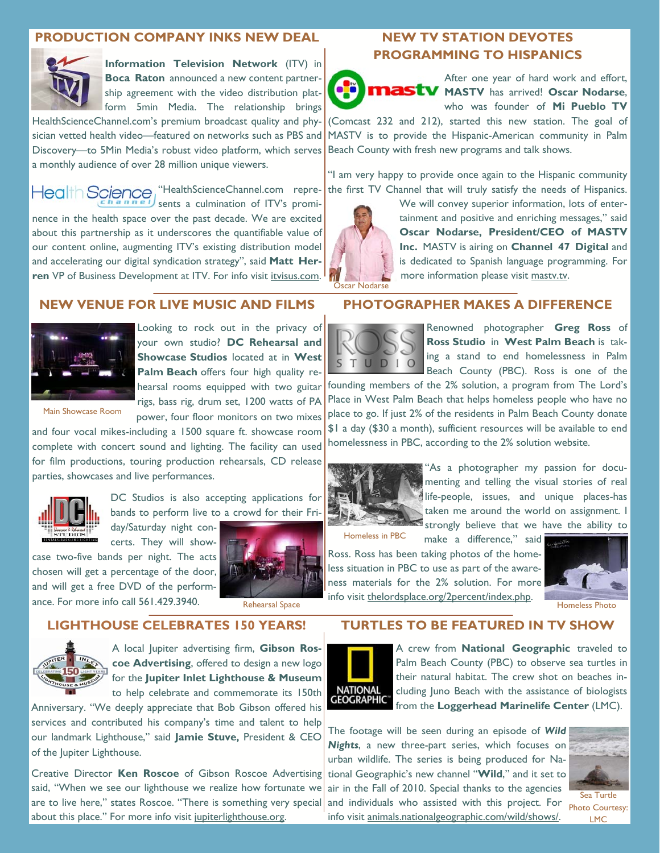# **PRODUCTION COMPANY INKS NEW DEAL**



**Information Television Network** (ITV) in **Boca Raton** announced a new content partnership agreement with the video distribution platform 5min Media. The relationship brings

HealthScienceChannel.com's premium broadcast quality and physician vetted health video—featured on networks such as PBS and Discovery—to 5Min Media's robust video platform, which serves a monthly audience of over 28 million unique viewers.

"HealthScienceChannel.com repre-**Health Science** sents a culmination of ITV's prominence in the health space over the past decade. We are excited about this partnership as it underscores the quantifiable value of our content online, augmenting ITV's existing distribution model and accelerating our digital syndication strategy", said **Matt Her**ren VP of Business Development at ITV. For info visit *itvisus.com*.

# **NEW VENUE FOR LIVE MUSIC AND FILMS**



Looking to rock out in the privacy of your own studio? **DC Rehearsal and Showcase Studios** located at in **West Palm Beach** offers four high quality rehearsal rooms equipped with two guitar rigs, bass rig, drum set, 1200 watts of PA power, four floor monitors on two mixes

Main Showcase Room

and four vocal mikes-including a 1500 square ft. showcase room complete with concert sound and lighting. The facility can used for film productions, touring production rehearsals, CD release parties, showcases and live performances.



DC Studios is also accepting applications for bands to perform live to a crowd for their Fri-

day/Saturday night concerts. They will show-

case two-five bands per night. The acts chosen will get a percentage of the door, and will get a free DVD of the perform-

ance. For more info call 561.429.3940. Rehearsal Space

**LIGHTHOUSE CELEBRATES 150 YEARS!** 



A local Jupiter advertising firm, **Gibson Roscoe Advertising**, offered to design a new logo for the **Jupiter Inlet Lighthouse & Museum** to help celebrate and commemorate its 150th

Anniversary. "We deeply appreciate that Bob Gibson offered his services and contributed his company's time and talent to help our landmark Lighthouse," said **Jamie Stuve,** President & CEO of the Jupiter Lighthouse.

Creative Director **Ken Roscoe** of Gibson Roscoe Advertising said, "When we see our lighthouse we realize how fortunate we are to live here," states Roscoe. "There is something very special about this place." For more info visit jupiterlighthouse.org.

# **NEW TV STATION DEVOTES PROGRAMMING TO HISPANICS**



After one year of hard work and effort, **MASTV** MASTV has arrived! Oscar Nodarse, who was founder of **Mi Pueblo TV** 

(Comcast 232 and 212), started this new station. The goal of MASTV is to provide the Hispanic-American community in Palm Beach County with fresh new programs and talk shows.

"I am very happy to provide once again to the Hispanic community the first TV Channel that will truly satisfy the needs of Hispanics.



We will convey superior information, lots of entertainment and positive and enriching messages," said **Oscar Nodarse, President/CEO of MASTV Inc.** MASTV is airing on **Channel 47 Digital** and is dedicated to Spanish language programming. For more information please visit mastv.tv.

**PHOTOGRAPHER MAKES A DIFFERENCE** 



Renowned photographer **Greg Ross** of **Ross Studio** in **West Palm Beach** is taking a stand to end homelessness in Palm Beach County (PBC). Ross is one of the

founding members of the 2% solution, a program from The Lord's Place in West Palm Beach that helps homeless people who have no place to go. If just 2% of the residents in Palm Beach County donate \$1 a day (\$30 a month), sufficient resources will be available to end homelessness in PBC, according to the 2% solution website.



"As a photographer my passion for documenting and telling the visual stories of real life-people, issues, and unique places-has taken me around the world on assignment. I strongly believe that we have the ability to

Homeless in PBC

make a difference," said Ross. Ross has been taking photos of the homeless situation in PBC to use as part of the awareness materials for the 2% solution. For more info visit thelordsplace.org/2percent/index.php.



Homeless Photo

## **TURTLES TO BE FEATURED IN TV SHOW**



A crew from **National Geographic** traveled to Palm Beach County (PBC) to observe sea turtles in their natural habitat. The crew shot on beaches including Juno Beach with the assistance of biologists from the **Loggerhead Marinelife Center** (LMC).

The footage will be seen during an episode of *Wild Nights*, a new three-part series, which focuses on urban wildlife. The series is being produced for National Geographic's new channel "**Wild**," and it set to air in the Fall of 2010. Special thanks to the agencies and individuals who assisted with this project. For info visit animals.nationalgeographic.com/wild/shows/.



Sea Turtle Photo Courtesy: LMC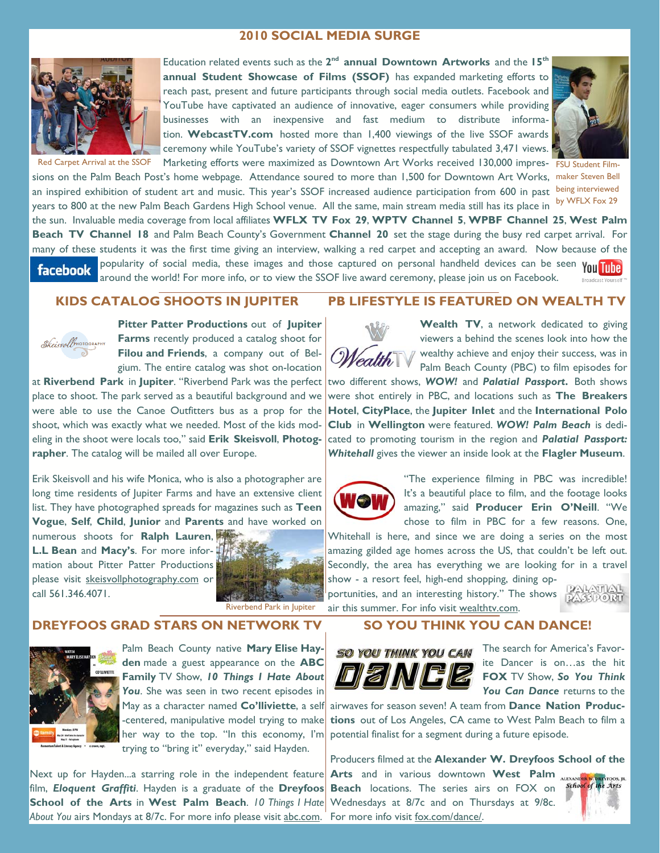# **2010 SOCIAL MEDIA SURGE**



Education related events such as the **2nd annual Downtown Artworks** and the **15th annual Student Showcase of Films (SSOF)** has expanded marketing efforts to reach past, present and future participants through social media outlets. Facebook and YouTube have captivated an audience of innovative, eager consumers while providing businesses with an inexpensive and fast medium to distribute information. **WebcastTV.com** hosted more than 1,400 viewings of the live SSOF awards ceremony while YouTube's variety of SSOF vignettes respectfully tabulated 3,471 views. Red Carpet Arrival at the SSOF Marketing efforts were maximized as Downtown Art Works received 130,000 impres-FSU Student Film-



sions on the Palm Beach Post's home webpage. Attendance soured to more than 1,500 for Downtown Art Works, maker Steven Bell an inspired exhibition of student art and music. This year's SSOF increased audience participation from 600 in past being interviewed

years to 800 at the new Palm Beach Gardens High School venue. All the same, main stream media still has its place in by WFLX Fox 29 the sun. Invaluable media coverage from local affiliates **WFLX TV Fox 29**, **WPTV Channel 5**, **WPBF Channel 25**, **West Palm Beach TV Channel 18** and Palm Beach County's Government **Channel 20** set the stage during the busy red carpet arrival. For many of these students it was the first time giving an interview, walking a red carpet and accepting an award. Now because of the popularity of social media, these images and those captured on personal handheld devices can be seen You Tuhe **facebook** 

around the world! For more info, or to view the SSOF live award ceremony, please join us on Facebook. **Broadcast Yourself** 

# **KIDS CATALOG SHOOTS IN JUPITER**



**Pitter Patter Productions** out of **Jupiter Farms** recently produced a catalog shoot for **Filou and Friends**, a company out of Belgium. The entire catalog was shot on-location

at **Riverbend Park** in **Jupiter**. "Riverbend Park was the perfect place to shoot. The park served as a beautiful background and we were able to use the Canoe Outfitters bus as a prop for the shoot, which was exactly what we needed. Most of the kids modeling in the shoot were locals too," said **Erik Skeisvoll**, **Photographer**. The catalog will be mailed all over Europe.

Erik Skeisvoll and his wife Monica, who is also a photographer are long time residents of Jupiter Farms and have an extensive client list. They have photographed spreads for magazines such as **Teen Vogue**, **Self**, **Child**, **Junior** and **Parents** and have worked on

numerous shoots for **Ralph Lauren**, **L.L Bean** and **Macy's**. For more information about Pitter Patter Productions please visit skeisvollphotography.com or call 561.346.4071.



Riverbend Park in Jupiter

# **DREYFOOS GRAD STARS ON NETWORK TV**



Palm Beach County native **Mary Elise Hayden** made a guest appearance on the **ABC Family** TV Show, *10 Things I Hate About*  You. She was seen in two recent episodes in May as a character named **Co'lliviette**, a self -centered, manipulative model trying to make her way to the top. "In this economy, I'm trying to "bring it" everyday," said Hayden.

Next up for Hayden...a starring role in the independent feature film, *Eloquent Graffiti*. Hayden is a graduate of the **Dreyfoos School of the Arts** in **West Palm Beach**. *10 Things I Hate About You* airs Mondays at 8/7c. For more info please visit abc.com.

# **PB LIFESTYLE IS FEATURED ON WEALTH TV**

Wealth TV, a network dedicated to giving viewers a behind the scenes look into how the wealthy achieve and enjoy their success, was in Palm Beach County (PBC) to film episodes for

two different shows, *WOW!* and *Palatial Passport***.** Both shows were shot entirely in PBC, and locations such as **The Breakers Hotel**, **CityPlace**, the **Jupiter Inlet** and the **International Polo Club** in **Wellington** were featured. *WOW! Palm Beach* is dedicated to promoting tourism in the region and *Palatial Passport: Whitehall* gives the viewer an inside look at the **Flagler Museum**.



"The experience filming in PBC was incredible! It's a beautiful place to film, and the footage looks amazing," said **Producer Erin O'Neill**. "We chose to film in PBC for a few reasons. One,

Whitehall is here, and since we are doing a series on the most amazing gilded age homes across the US, that couldn't be left out. Secondly, the area has everything we are looking for in a travel show - a resort feel, high-end shopping, dining op-

portunities, and an interesting history." The shows air this summer. For info visit wealthtv.com.



#### **SO YOU THINK YOU CAN DANCE!**



The search for America's Favorite Dancer is on…as the hit **FOX** TV Show, *So You Think*  You Can Dance returns to the

airwaves for season seven! A team from **Dance Nation Productions** out of Los Angeles, CA came to West Palm Beach to film a potential finalist for a segment during a future episode.

Producers filmed at the **Alexander W. Dreyfoos School of the Arts** and in various downtown **West Palm**  the Arts **Beach** locations. The series airs on FOX on Wednesdays at 8/7c and on Thursdays at 9/8c. For more info visit fox.com/dance/.